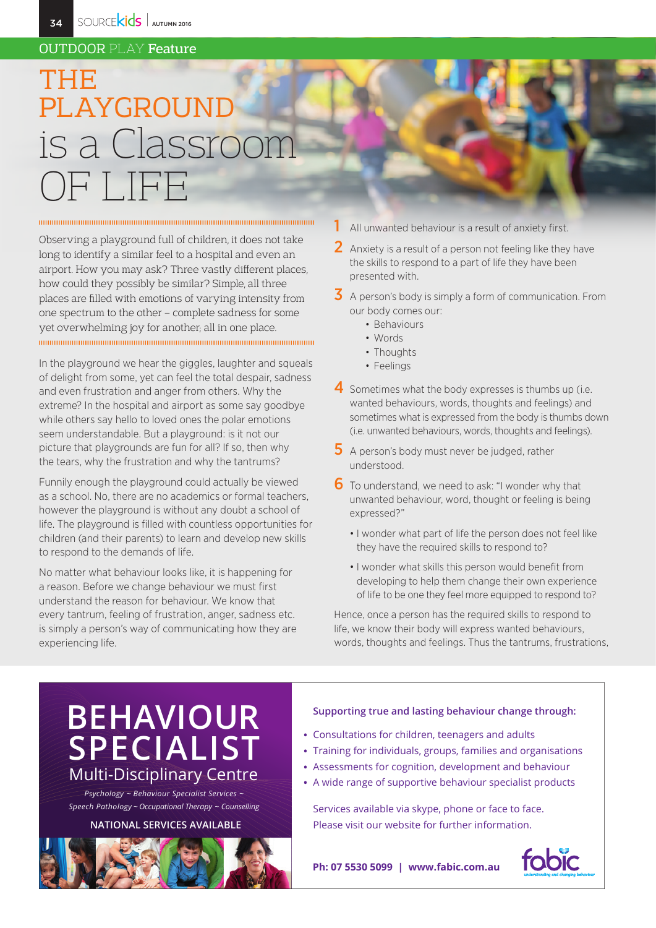### **OUTDOOR PLAY Feature**

# THEIR PLAYGROUND is a Classroor

Observing a playground full of children, it does not take long to identify a similar feel to a hospital and even an airport. How you may ask? Three vastly different places, how could they possibly be similar? Simple, all three places are filled with emotions of varying intensity from one spectrum to the other - complete sadness for some yet overwhelming joy for another; all in one place.

In the playground we hear the giggles, laughter and squeals of delight from some, yet can feel the total despair, sadness and even frustration and anger from others. Why the extreme? In the hospital and airport as some say goodbye while others say hello to loved ones the polar emotions seem understandable. But a playground: is it not our picture that playgrounds are fun for all? If so, then why the tears, why the frustration and why the tantrums?

Funnily enough the playground could actually be viewed as a school. No, there are no academics or formal teachers, however the playground is without any doubt a school of life. The playground is filled with countless opportunities for children (and their parents) to learn and develop new skills to respond to the demands of life.

No matter what behaviour looks like, it is happening for a reason. Before we change behaviour we must first understand the reason for behaviour. We know that every tantrum, feeling of frustration, anger, sadness etc. is simply a person's way of communicating how they are experiencing life.

All unwanted behaviour is a result of anxiety first.

- 2 Anxiety is a result of a person not feeling like they have the skills to respond to a part of life they have been presented with.
- $\overline{\mathbf{3}}$  A person's body is simply a form of communication. From our body comes our:
	- Behaviours
	- Words

1

- Thoughts
- Feelings
- 4 Sometimes what the body expresses is thumbs up (i.e. wanted behaviours, words, thoughts and feelings) and sometimes what is expressed from the body is thumbs down (i.e. unwanted behaviours, words, thoughts and feelings).
- $5$  A person's body must never be judged, rather understood.
- 6 To understand, we need to ask: "I wonder why that unwanted behaviour, word, thought or feeling is being expressed?"
	- . I wonder what part of life the person does not feel like they have the required skills to respond to?
	- . I wonder what skills this person would benefit from developing to help them change their own experience of life to be one they feel more equipped to respond to?

Hence, once a person has the required skills to respond to life, we know their body will express wanted behaviours, words, thoughts and feelings. Thus the tantrums, frustrations,

## **BEHAVIOUR<br>SPECIALIST Multi-Disciplinary Centre**

Psychology ~ Behaviour Specialist Services ~ Speech Pathology ~ Occupational Therapy ~ Counselling

#### **NATIONAL SERVICES AVAILABLE**



#### Supporting true and lasting behaviour change through:

- Consultations for children, teenagers and adults
- Training for individuals, groups, families and organisations
- Assessments for cognition, development and behaviour
- A wide range of supportive behaviour specialist products

Services available via skype, phone or face to face. Please visit our website for further information.